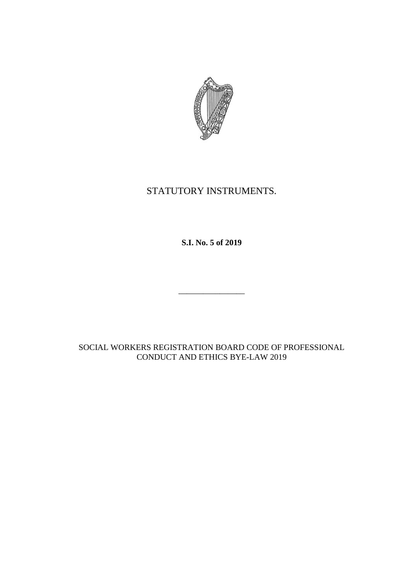

# STATUTORY INSTRUMENTS.

**S.I. No. 5 of 2019**

\_\_\_\_\_\_\_\_\_\_\_\_\_\_\_\_

SOCIAL WORKERS REGISTRATION BOARD CODE OF PROFESSIONAL CONDUCT AND ETHICS BYE-LAW 2019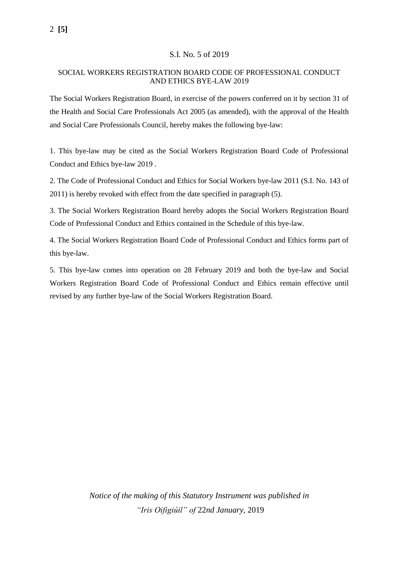#### S.I. No. 5 of 2019

#### SOCIAL WORKERS REGISTRATION BOARD CODE OF PROFESSIONAL CONDUCT AND ETHICS BYE-LAW 2019

The Social Workers Registration Board, in exercise of the powers conferred on it by section 31 of the Health and Social Care Professionals Act 2005 (as amended), with the approval of the Health and Social Care Professionals Council, hereby makes the following bye-law:

1. This bye-law may be cited as the Social Workers Registration Board Code of Professional Conduct and Ethics bye-law 2019 .

2. The Code of Professional Conduct and Ethics for Social Workers bye-law 2011 (S.I. No. 143 of 2011) is hereby revoked with effect from the date specified in paragraph (5).

3. The Social Workers Registration Board hereby adopts the Social Workers Registration Board Code of Professional Conduct and Ethics contained in the Schedule of this bye-law.

4. The Social Workers Registration Board Code of Professional Conduct and Ethics forms part of this bye-law.

5. This bye-law comes into operation on 28 February 2019 and both the bye-law and Social Workers Registration Board Code of Professional Conduct and Ethics remain effective until revised by any further bye-law of the Social Workers Registration Board.

> *Notice of the making of this Statutory Instrument was published in "Iris Oifigiúil" of* 22*nd January,* 2019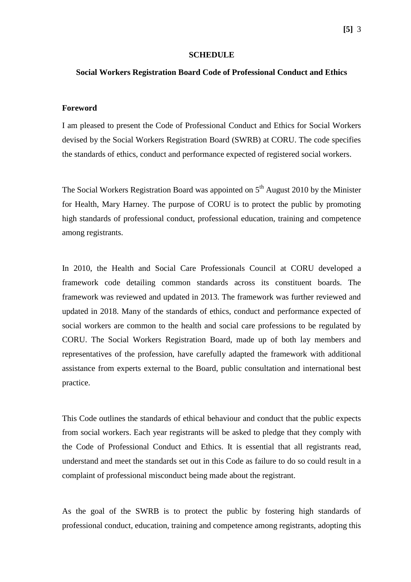#### **SCHEDULE**

#### **Social Workers Registration Board Code of Professional Conduct and Ethics**

#### **Foreword**

I am pleased to present the Code of Professional Conduct and Ethics for Social Workers devised by the Social Workers Registration Board (SWRB) at CORU. The code specifies the standards of ethics, conduct and performance expected of registered social workers.

The Social Workers Registration Board was appointed on  $5<sup>th</sup>$  August 2010 by the Minister for Health, Mary Harney. The purpose of CORU is to protect the public by promoting high standards of professional conduct, professional education, training and competence among registrants.

In 2010, the Health and Social Care Professionals Council at CORU developed a framework code detailing common standards across its constituent boards. The framework was reviewed and updated in 2013. The framework was further reviewed and updated in 2018. Many of the standards of ethics, conduct and performance expected of social workers are common to the health and social care professions to be regulated by CORU. The Social Workers Registration Board, made up of both lay members and representatives of the profession, have carefully adapted the framework with additional assistance from experts external to the Board, public consultation and international best practice.

This Code outlines the standards of ethical behaviour and conduct that the public expects from social workers. Each year registrants will be asked to pledge that they comply with the Code of Professional Conduct and Ethics. It is essential that all registrants read, understand and meet the standards set out in this Code as failure to do so could result in a complaint of professional misconduct being made about the registrant.

As the goal of the SWRB is to protect the public by fostering high standards of professional conduct, education, training and competence among registrants, adopting this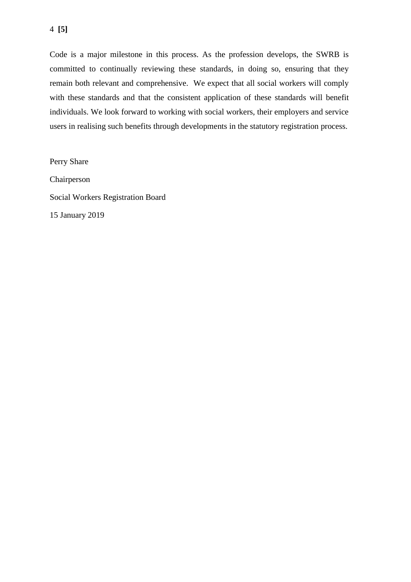### 4 **[5]**

Code is a major milestone in this process. As the profession develops, the SWRB is committed to continually reviewing these standards, in doing so, ensuring that they remain both relevant and comprehensive. We expect that all social workers will comply with these standards and that the consistent application of these standards will benefit individuals. We look forward to working with social workers, their employers and service users in realising such benefits through developments in the statutory registration process.

Perry Share Chairperson Social Workers Registration Board 15 January 2019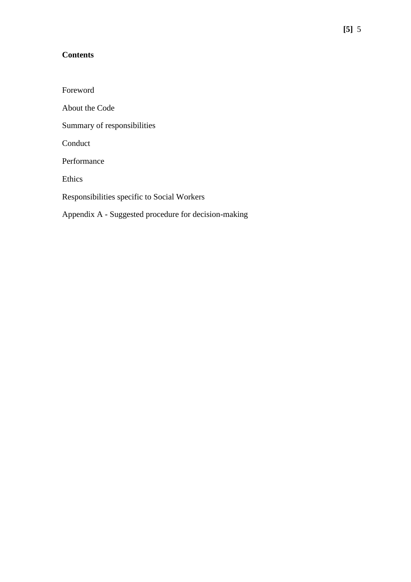## **Contents**

Foreword About the Code Summary of responsibilities Conduct Performance Ethics Responsibilities specific to Social Workers Appendix A - Suggested procedure for decision-making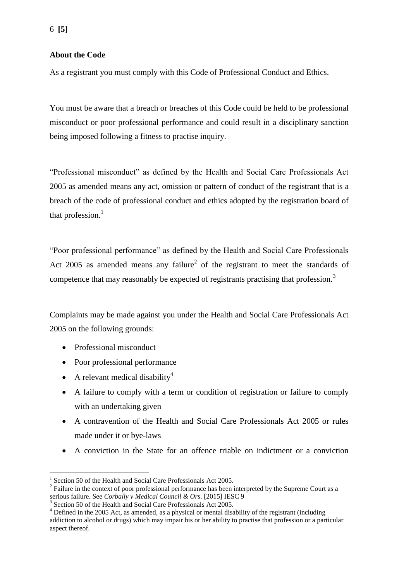As a registrant you must comply with this Code of Professional Conduct and Ethics.

You must be aware that a breach or breaches of this Code could be held to be professional misconduct or poor professional performance and could result in a disciplinary sanction being imposed following a fitness to practise inquiry.

"Professional misconduct" as defined by the Health and Social Care Professionals Act 2005 as amended means any act, omission or pattern of conduct of the registrant that is a breach of the code of professional conduct and ethics adopted by the registration board of that profession. $<sup>1</sup>$ </sup>

"Poor professional performance" as defined by the Health and Social Care Professionals Act 2005 as amended means any failure<sup>2</sup> of the registrant to meet the standards of competence that may reasonably be expected of registrants practising that profession.<sup>3</sup>

Complaints may be made against you under the Health and Social Care Professionals Act 2005 on the following grounds:

• Professional misconduct

1

- Poor professional performance
- A relevant medical disability<sup>4</sup>
- A failure to comply with a term or condition of registration or failure to comply with an undertaking given
- A contravention of the Health and Social Care Professionals Act 2005 or rules made under it or bye-laws
- A conviction in the State for an offence triable on indictment or a conviction

<sup>1</sup> Section 50 of the Health and Social Care Professionals Act 2005.

 $2^2$  Failure in the context of poor professional performance has been interpreted by the Supreme Court as a serious failure. See *Corbally v Medical Council & Ors*. [2015] IESC 9

<sup>&</sup>lt;sup>3</sup> Section 50 of the Health and Social Care Professionals Act 2005.

<sup>4</sup> Defined in the 2005 Act, as amended, as a physical or mental disability of the registrant (including addiction to alcohol or drugs) which may impair his or her ability to practise that profession or a particular aspect thereof.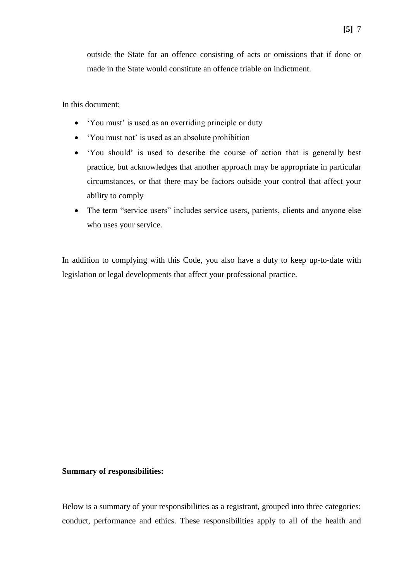outside the State for an offence consisting of acts or omissions that if done or made in the State would constitute an offence triable on indictment.

In this document:

- 'You must' is used as an overriding principle or duty
- 'You must not' is used as an absolute prohibition
- 'You should' is used to describe the course of action that is generally best practice, but acknowledges that another approach may be appropriate in particular circumstances, or that there may be factors outside your control that affect your ability to comply
- The term "service users" includes service users, patients, clients and anyone else who uses your service.

In addition to complying with this Code, you also have a duty to keep up-to-date with legislation or legal developments that affect your professional practice.

#### **Summary of responsibilities:**

Below is a summary of your responsibilities as a registrant, grouped into three categories: conduct, performance and ethics. These responsibilities apply to all of the health and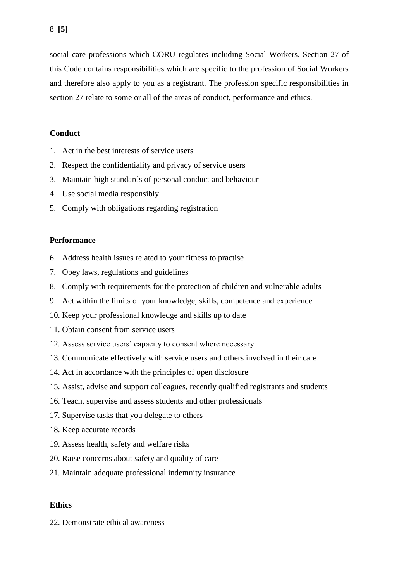social care professions which CORU regulates including Social Workers. Section 27 of this Code contains responsibilities which are specific to the profession of Social Workers and therefore also apply to you as a registrant. The profession specific responsibilities in section 27 relate to some or all of the areas of conduct, performance and ethics.

#### **Conduct**

- 1. Act in the best interests of service users
- 2. Respect the confidentiality and privacy of service users
- 3. Maintain high standards of personal conduct and behaviour
- 4. Use social media responsibly
- 5. Comply with obligations regarding registration

#### **Performance**

- 6. Address health issues related to your fitness to practise
- 7. Obey laws, regulations and guidelines
- 8. Comply with requirements for the protection of children and vulnerable adults
- 9. Act within the limits of your knowledge, skills, competence and experience
- 10. Keep your professional knowledge and skills up to date
- 11. Obtain consent from service users
- 12. Assess service users' capacity to consent where necessary
- 13. Communicate effectively with service users and others involved in their care
- 14. Act in accordance with the principles of open disclosure
- 15. Assist, advise and support colleagues, recently qualified registrants and students
- 16. Teach, supervise and assess students and other professionals
- 17. Supervise tasks that you delegate to others
- 18. Keep accurate records
- 19. Assess health, safety and welfare risks
- 20. Raise concerns about safety and quality of care
- 21. Maintain adequate professional indemnity insurance

#### **Ethics**

22. Demonstrate ethical awareness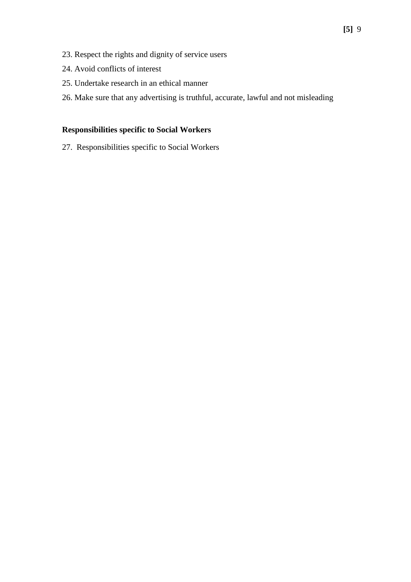- 23. Respect the rights and dignity of service users
- 24. Avoid conflicts of interest
- 25. Undertake research in an ethical manner
- 26. Make sure that any advertising is truthful, accurate, lawful and not misleading

## **Responsibilities specific to Social Workers**

27. Responsibilities specific to Social Workers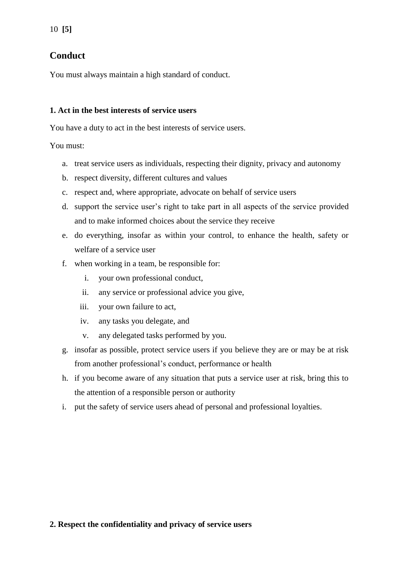## **Conduct**

You must always maintain a high standard of conduct.

### **1. Act in the best interests of service users**

You have a duty to act in the best interests of service users.

You must:

- a. treat service users as individuals, respecting their dignity, privacy and autonomy
- b. respect diversity, different cultures and values
- c. respect and, where appropriate, advocate on behalf of service users
- d. support the service user's right to take part in all aspects of the service provided and to make informed choices about the service they receive
- e. do everything, insofar as within your control, to enhance the health, safety or welfare of a service user
- f. when working in a team, be responsible for:
	- i. your own professional conduct,
	- ii. any service or professional advice you give,
	- iii. your own failure to act,
	- iv. any tasks you delegate, and
	- v. any delegated tasks performed by you.
- g. insofar as possible, protect service users if you believe they are or may be at risk from another professional's conduct, performance or health
- h. if you become aware of any situation that puts a service user at risk, bring this to the attention of a responsible person or authority
- i. put the safety of service users ahead of personal and professional loyalties.

## **2. Respect the confidentiality and privacy of service users**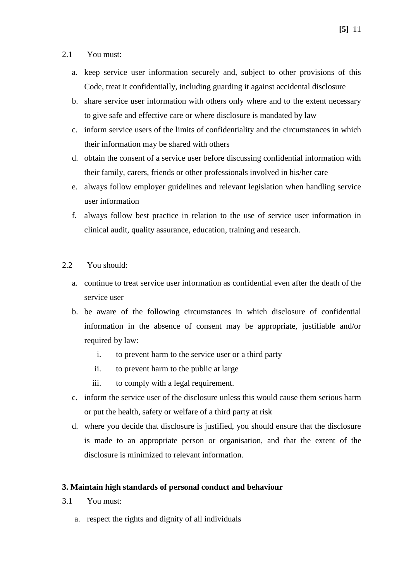#### 2.1 You must:

- a. keep service user information securely and, subject to other provisions of this Code, treat it confidentially, including guarding it against accidental disclosure
- b. share service user information with others only where and to the extent necessary to give safe and effective care or where disclosure is mandated by law
- c. inform service users of the limits of confidentiality and the circumstances in which their information may be shared with others
- d. obtain the consent of a service user before discussing confidential information with their family, carers, friends or other professionals involved in his/her care
- e. always follow employer guidelines and relevant legislation when handling service user information
- f. always follow best practice in relation to the use of service user information in clinical audit, quality assurance, education, training and research.
- 2.2 You should:
	- a. continue to treat service user information as confidential even after the death of the service user
	- b. be aware of the following circumstances in which disclosure of confidential information in the absence of consent may be appropriate, justifiable and/or required by law:
		- i. to prevent harm to the service user or a third party
		- ii. to prevent harm to the public at large
		- iii. to comply with a legal requirement.
	- c. inform the service user of the disclosure unless this would cause them serious harm or put the health, safety or welfare of a third party at risk
	- d. where you decide that disclosure is justified, you should ensure that the disclosure is made to an appropriate person or organisation, and that the extent of the disclosure is minimized to relevant information.

## **3. Maintain high standards of personal conduct and behaviour**

- 3.1 You must:
	- a. respect the rights and dignity of all individuals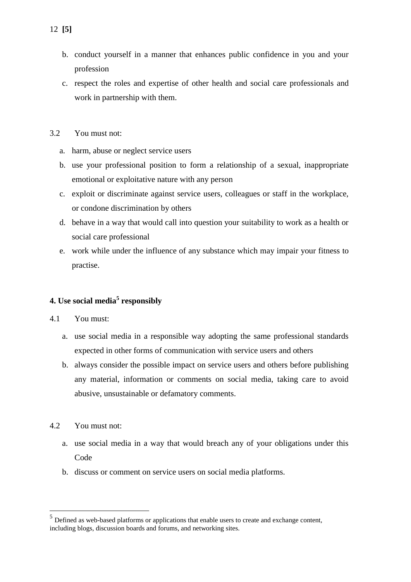- b. conduct yourself in a manner that enhances public confidence in you and your profession
- c. respect the roles and expertise of other health and social care professionals and work in partnership with them.
- 3.2 You must not:
	- a. harm, abuse or neglect service users
	- b. use your professional position to form a relationship of a sexual, inappropriate emotional or exploitative nature with any person
	- c. exploit or discriminate against service users, colleagues or staff in the workplace, or condone discrimination by others
	- d. behave in a way that would call into question your suitability to work as a health or social care professional
	- e. work while under the influence of any substance which may impair your fitness to practise.

## **4. Use social media<sup>5</sup> responsibly**

#### 4.1 You must:

- a. use social media in a responsible way adopting the same professional standards expected in other forms of communication with service users and others
- b. always consider the possible impact on service users and others before publishing any material, information or comments on social media, taking care to avoid abusive, unsustainable or defamatory comments.
- 4.2 You must not:

1

- a. use social media in a way that would breach any of your obligations under this Code
- b. discuss or comment on service users on social media platforms.

 $<sup>5</sup>$  Defined as web-based platforms or applications that enable users to create and exchange content,</sup> including blogs, discussion boards and forums, and networking sites.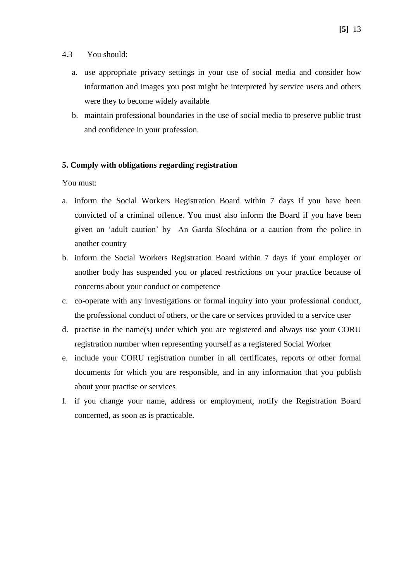- 4.3 You should:
	- a. use appropriate privacy settings in your use of social media and consider how information and images you post might be interpreted by service users and others were they to become widely available
	- b. maintain professional boundaries in the use of social media to preserve public trust and confidence in your profession.

### **5. Comply with obligations regarding registration**

You must:

- a. inform the Social Workers Registration Board within 7 days if you have been convicted of a criminal offence. You must also inform the Board if you have been given an 'adult caution' by An Garda Síochána or a caution from the police in another country
- b. inform the Social Workers Registration Board within 7 days if your employer or another body has suspended you or placed restrictions on your practice because of concerns about your conduct or competence
- c. co-operate with any investigations or formal inquiry into your professional conduct, the professional conduct of others, or the care or services provided to a service user
- d. practise in the name(s) under which you are registered and always use your CORU registration number when representing yourself as a registered Social Worker
- e. include your CORU registration number in all certificates, reports or other formal documents for which you are responsible, and in any information that you publish about your practise or services
- f. if you change your name, address or employment, notify the Registration Board concerned, as soon as is practicable.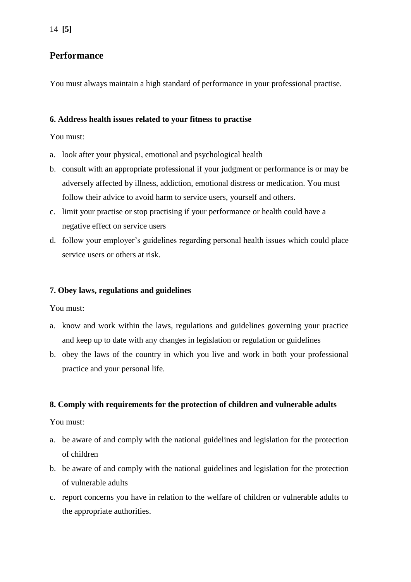## **Performance**

You must always maintain a high standard of performance in your professional practise.

### **6. Address health issues related to your fitness to practise**

You must:

- a. look after your physical, emotional and psychological health
- b. consult with an appropriate professional if your judgment or performance is or may be adversely affected by illness, addiction, emotional distress or medication. You must follow their advice to avoid harm to service users, yourself and others.
- c. limit your practise or stop practising if your performance or health could have a negative effect on service users
- d. follow your employer's guidelines regarding personal health issues which could place service users or others at risk.

### **7. Obey laws, regulations and guidelines**

You must:

- a. know and work within the laws, regulations and guidelines governing your practice and keep up to date with any changes in legislation or regulation or guidelines
- b. obey the laws of the country in which you live and work in both your professional practice and your personal life.

#### **8. Comply with requirements for the protection of children and vulnerable adults**

You must:

- a. be aware of and comply with the national guidelines and legislation for the protection of children
- b. be aware of and comply with the national guidelines and legislation for the protection of vulnerable adults
- c. report concerns you have in relation to the welfare of children or vulnerable adults to the appropriate authorities.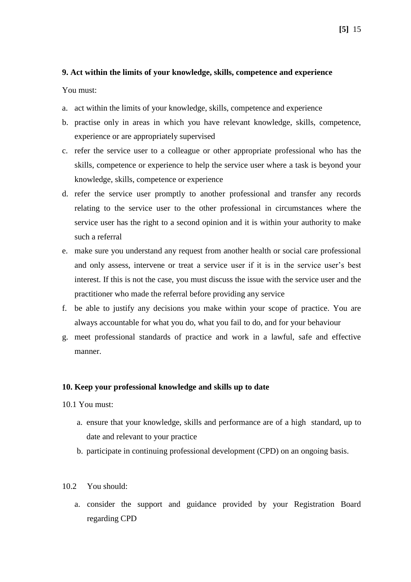#### **9. Act within the limits of your knowledge, skills, competence and experience**

You must:

- a. act within the limits of your knowledge, skills, competence and experience
- b. practise only in areas in which you have relevant knowledge, skills, competence, experience or are appropriately supervised
- c. refer the service user to a colleague or other appropriate professional who has the skills, competence or experience to help the service user where a task is beyond your knowledge, skills, competence or experience
- d. refer the service user promptly to another professional and transfer any records relating to the service user to the other professional in circumstances where the service user has the right to a second opinion and it is within your authority to make such a referral
- e. make sure you understand any request from another health or social care professional and only assess, intervene or treat a service user if it is in the service user's best interest. If this is not the case, you must discuss the issue with the service user and the practitioner who made the referral before providing any service
- f. be able to justify any decisions you make within your scope of practice. You are always accountable for what you do, what you fail to do, and for your behaviour
- g. meet professional standards of practice and work in a lawful, safe and effective manner.

#### **10. Keep your professional knowledge and skills up to date**

- 10.1 You must:
	- a. ensure that your knowledge, skills and performance are of a high standard, up to date and relevant to your practice
	- b. participate in continuing professional development (CPD) on an ongoing basis.
- 10.2 You should:
	- a. consider the support and guidance provided by your Registration Board regarding CPD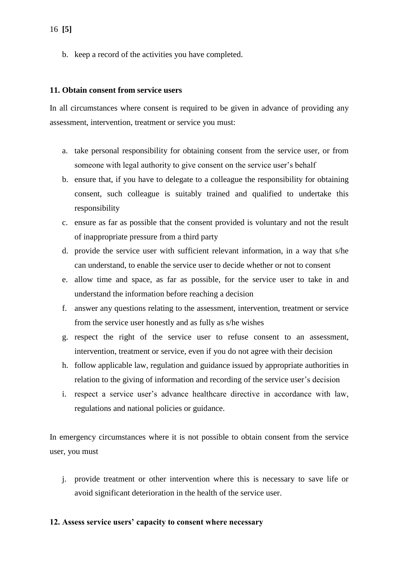b. keep a record of the activities you have completed.

#### **11. Obtain consent from service users**

In all circumstances where consent is required to be given in advance of providing any assessment, intervention, treatment or service you must:

- a. take personal responsibility for obtaining consent from the service user, or from someone with legal authority to give consent on the service user's behalf
- b. ensure that, if you have to delegate to a colleague the responsibility for obtaining consent, such colleague is suitably trained and qualified to undertake this responsibility
- c. ensure as far as possible that the consent provided is voluntary and not the result of inappropriate pressure from a third party
- d. provide the service user with sufficient relevant information, in a way that s/he can understand, to enable the service user to decide whether or not to consent
- e. allow time and space, as far as possible, for the service user to take in and understand the information before reaching a decision
- f. answer any questions relating to the assessment, intervention, treatment or service from the service user honestly and as fully as s/he wishes
- g. respect the right of the service user to refuse consent to an assessment, intervention, treatment or service, even if you do not agree with their decision
- h. follow applicable law, regulation and guidance issued by appropriate authorities in relation to the giving of information and recording of the service user's decision
- i. respect a service user's advance healthcare directive in accordance with law, regulations and national policies or guidance.

In emergency circumstances where it is not possible to obtain consent from the service user, you must

j. provide treatment or other intervention where this is necessary to save life or avoid significant deterioration in the health of the service user.

#### **12. Assess service users' capacity to consent where necessary**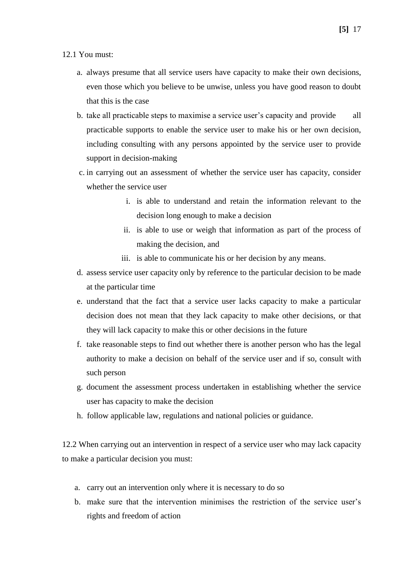#### 12.1 You must:

- a. always presume that all service users have capacity to make their own decisions, even those which you believe to be unwise, unless you have good reason to doubt that this is the case
- b. take all practicable steps to maximise a service user's capacity and provide all practicable supports to enable the service user to make his or her own decision, including consulting with any persons appointed by the service user to provide support in decision-making
- c. in carrying out an assessment of whether the service user has capacity, consider whether the service user
	- i. is able to understand and retain the information relevant to the decision long enough to make a decision
	- ii. is able to use or weigh that information as part of the process of making the decision, and
	- iii. is able to communicate his or her decision by any means.
- d. assess service user capacity only by reference to the particular decision to be made at the particular time
- e. understand that the fact that a service user lacks capacity to make a particular decision does not mean that they lack capacity to make other decisions, or that they will lack capacity to make this or other decisions in the future
- f. take reasonable steps to find out whether there is another person who has the legal authority to make a decision on behalf of the service user and if so, consult with such person
- g. document the assessment process undertaken in establishing whether the service user has capacity to make the decision
- h. follow applicable law, regulations and national policies or guidance.

12.2 When carrying out an intervention in respect of a service user who may lack capacity to make a particular decision you must:

- a. carry out an intervention only where it is necessary to do so
- b. make sure that the intervention minimises the restriction of the service user's rights and freedom of action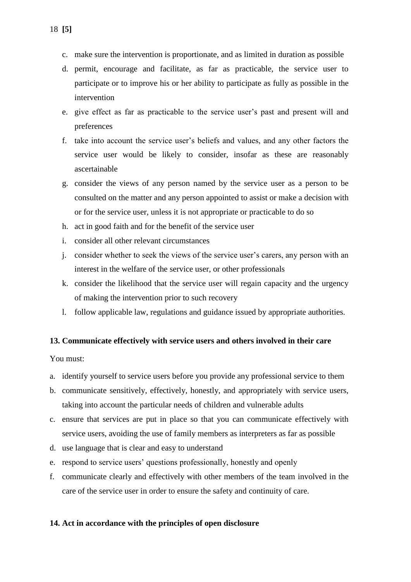- c. make sure the intervention is proportionate, and as limited in duration as possible
- d. permit, encourage and facilitate, as far as practicable, the service user to participate or to improve his or her ability to participate as fully as possible in the intervention
- e. give effect as far as practicable to the service user's past and present will and preferences
- f. take into account the service user's beliefs and values, and any other factors the service user would be likely to consider, insofar as these are reasonably ascertainable
- g. consider the views of any person named by the service user as a person to be consulted on the matter and any person appointed to assist or make a decision with or for the service user, unless it is not appropriate or practicable to do so
- h. act in good faith and for the benefit of the service user
- i. consider all other relevant circumstances
- j. consider whether to seek the views of the service user's carers, any person with an interest in the welfare of the service user, or other professionals
- k. consider the likelihood that the service user will regain capacity and the urgency of making the intervention prior to such recovery
- l. follow applicable law, regulations and guidance issued by appropriate authorities.

## **13. Communicate effectively with service users and others involved in their care**

You must:

- a. identify yourself to service users before you provide any professional service to them
- b. communicate sensitively, effectively, honestly, and appropriately with service users, taking into account the particular needs of children and vulnerable adults
- c. ensure that services are put in place so that you can communicate effectively with service users, avoiding the use of family members as interpreters as far as possible
- d. use language that is clear and easy to understand
- e. respond to service users' questions professionally, honestly and openly
- f. communicate clearly and effectively with other members of the team involved in the care of the service user in order to ensure the safety and continuity of care.

#### **14. Act in accordance with the principles of open disclosure**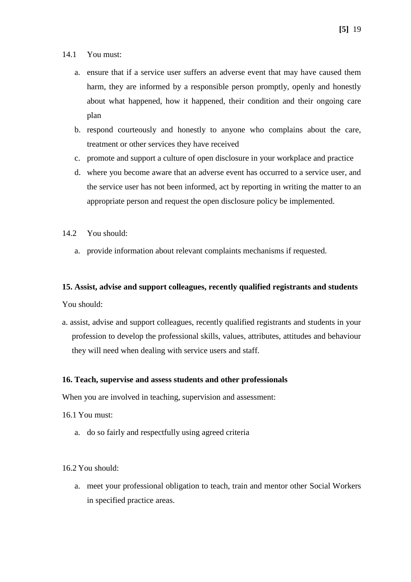- 14.1 You must:
	- a. ensure that if a service user suffers an adverse event that may have caused them harm, they are informed by a responsible person promptly, openly and honestly about what happened, how it happened, their condition and their ongoing care plan
	- b. respond courteously and honestly to anyone who complains about the care, treatment or other services they have received
	- c. promote and support a culture of open disclosure in your workplace and practice
	- d. where you become aware that an adverse event has occurred to a service user, and the service user has not been informed, act by reporting in writing the matter to an appropriate person and request the open disclosure policy be implemented.
- $14.2$  You should:
	- a. provide information about relevant complaints mechanisms if requested.

#### **15. Assist, advise and support colleagues, recently qualified registrants and students**

You should:

a. assist, advise and support colleagues, recently qualified registrants and students in your profession to develop the professional skills, values, attributes, attitudes and behaviour they will need when dealing with service users and staff.

#### **16. Teach, supervise and assess students and other professionals**

When you are involved in teaching, supervision and assessment:

- 16.1 You must:
	- a. do so fairly and respectfully using agreed criteria

16.2 You should:

a. meet your professional obligation to teach, train and mentor other Social Workers in specified practice areas.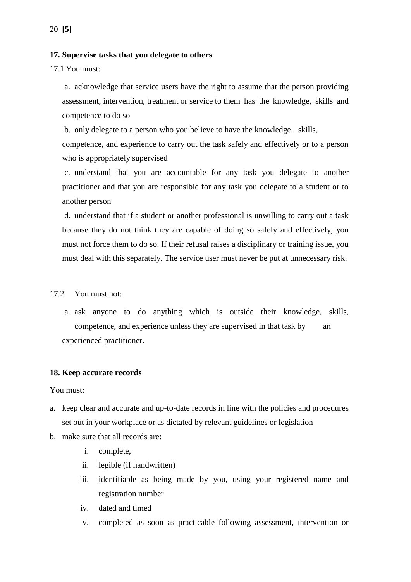#### **17. Supervise tasks that you delegate to others**

17.1 You must:

a. acknowledge that service users have the right to assume that the person providing assessment, intervention, treatment or service to them has the knowledge, skills and competence to do so

b. only delegate to a person who you believe to have the knowledge, skills,

competence, and experience to carry out the task safely and effectively or to a person who is appropriately supervised

c. understand that you are accountable for any task you delegate to another practitioner and that you are responsible for any task you delegate to a student or to another person

d. understand that if a student or another professional is unwilling to carry out a task because they do not think they are capable of doing so safely and effectively, you must not force them to do so. If their refusal raises a disciplinary or training issue, you must deal with this separately. The service user must never be put at unnecessary risk.

17.2 You must not:

a. ask anyone to do anything which is outside their knowledge, skills, competence, and experience unless they are supervised in that task by an experienced practitioner.

#### **18. Keep accurate records**

You must:

- a. keep clear and accurate and up-to-date records in line with the policies and procedures set out in your workplace or as dictated by relevant guidelines or legislation
- b. make sure that all records are:
	- i. complete,
	- ii. legible (if handwritten)
	- iii. identifiable as being made by you, using your registered name and registration number
	- iv. dated and timed
	- v. completed as soon as practicable following assessment, intervention or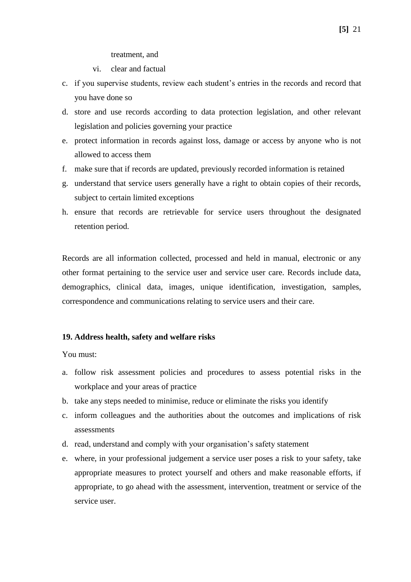treatment, and

vi. clear and factual

- c. if you supervise students, review each student's entries in the records and record that you have done so
- d. store and use records according to data protection legislation, and other relevant legislation and policies governing your practice
- e. protect information in records against loss, damage or access by anyone who is not allowed to access them
- f. make sure that if records are updated, previously recorded information is retained
- g. understand that service users generally have a right to obtain copies of their records, subject to certain limited exceptions
- h. ensure that records are retrievable for service users throughout the designated retention period.

Records are all information collected, processed and held in manual, electronic or any other format pertaining to the service user and service user care. Records include data, demographics, clinical data, images, unique identification, investigation, samples, correspondence and communications relating to service users and their care.

#### **19. Address health, safety and welfare risks**

You must:

- a. follow risk assessment policies and procedures to assess potential risks in the workplace and your areas of practice
- b. take any steps needed to minimise, reduce or eliminate the risks you identify
- c. inform colleagues and the authorities about the outcomes and implications of risk assessments
- d. read, understand and comply with your organisation's safety statement
- e. where, in your professional judgement a service user poses a risk to your safety, take appropriate measures to protect yourself and others and make reasonable efforts, if appropriate, to go ahead with the assessment, intervention, treatment or service of the service user.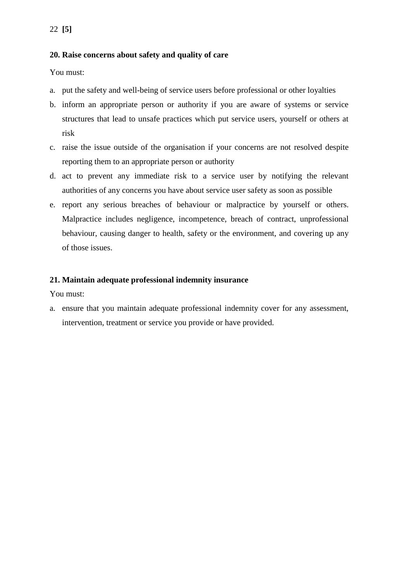## **20. Raise concerns about safety and quality of care**

You must:

- a. put the safety and well-being of service users before professional or other loyalties
- b. inform an appropriate person or authority if you are aware of systems or service structures that lead to unsafe practices which put service users, yourself or others at risk
- c. raise the issue outside of the organisation if your concerns are not resolved despite reporting them to an appropriate person or authority
- d. act to prevent any immediate risk to a service user by notifying the relevant authorities of any concerns you have about service user safety as soon as possible
- e. report any serious breaches of behaviour or malpractice by yourself or others. Malpractice includes negligence, incompetence, breach of contract, unprofessional behaviour, causing danger to health, safety or the environment, and covering up any of those issues.

### **21. Maintain adequate professional indemnity insurance**

You must:

a. ensure that you maintain adequate professional indemnity cover for any assessment, intervention, treatment or service you provide or have provided.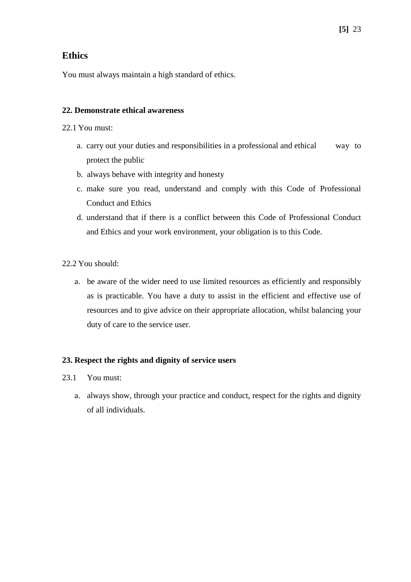## **Ethics**

You must always maintain a high standard of ethics.

## **22. Demonstrate ethical awareness**

- 22.1 You must:
	- a. carry out your duties and responsibilities in a professional and ethical way to protect the public
	- b. always behave with integrity and honesty
	- c. make sure you read, understand and comply with this Code of Professional Conduct and Ethics
	- d. understand that if there is a conflict between this Code of Professional Conduct and Ethics and your work environment, your obligation is to this Code.
- 22.2 You should:
	- a. be aware of the wider need to use limited resources as efficiently and responsibly as is practicable. You have a duty to assist in the efficient and effective use of resources and to give advice on their appropriate allocation, whilst balancing your duty of care to the service user.

## **23. Respect the rights and dignity of service users**

- 23.1 You must:
	- a. always show, through your practice and conduct, respect for the rights and dignity of all individuals.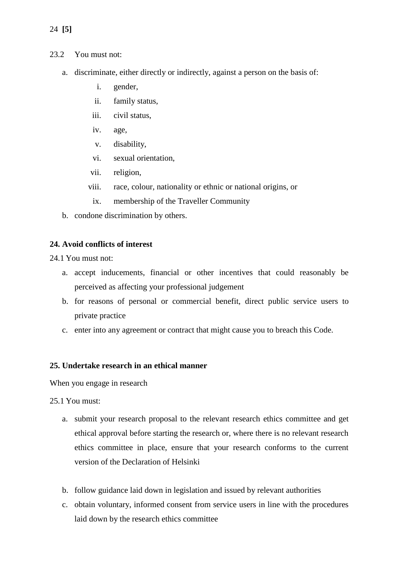24 **[5]**

- 23.2 You must not:
	- a. discriminate, either directly or indirectly, against a person on the basis of:
		- i. gender,
		- ii. family status,
		- iii. civil status,
		- iv. age,
		- v. disability,
		- vi. sexual orientation,
		- vii. religion,
		- viii. race, colour, nationality or ethnic or national origins, or
			- ix. membership of the Traveller Community
	- b. condone discrimination by others.

#### **24. Avoid conflicts of interest**

24.1 You must not:

- a. accept inducements, financial or other incentives that could reasonably be perceived as affecting your professional judgement
- b. for reasons of personal or commercial benefit, direct public service users to private practice
- c. enter into any agreement or contract that might cause you to breach this Code.

#### **25. Undertake research in an ethical manner**

When you engage in research

25.1 You must:

- a. submit your research proposal to the relevant research ethics committee and get ethical approval before starting the research or, where there is no relevant research ethics committee in place, ensure that your research conforms to the current version of the Declaration of Helsinki
- b. follow guidance laid down in legislation and issued by relevant authorities
- c. obtain voluntary, informed consent from service users in line with the procedures laid down by the research ethics committee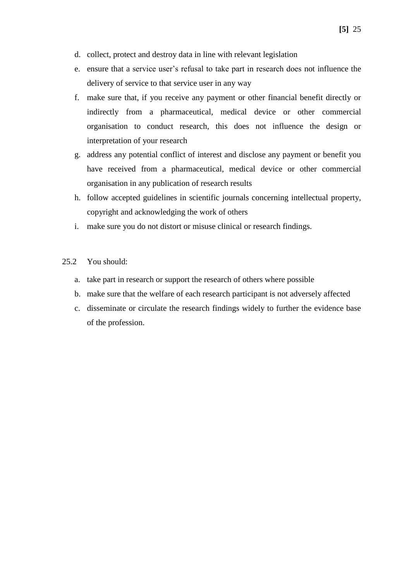- d. collect, protect and destroy data in line with relevant legislation
- e. ensure that a service user's refusal to take part in research does not influence the delivery of service to that service user in any way
- f. make sure that, if you receive any payment or other financial benefit directly or indirectly from a pharmaceutical, medical device or other commercial organisation to conduct research, this does not influence the design or interpretation of your research
- g. address any potential conflict of interest and disclose any payment or benefit you have received from a pharmaceutical, medical device or other commercial organisation in any publication of research results
- h. follow accepted guidelines in scientific journals concerning intellectual property, copyright and acknowledging the work of others
- i. make sure you do not distort or misuse clinical or research findings.
- 25.2 You should:
	- a. take part in research or support the research of others where possible
	- b. make sure that the welfare of each research participant is not adversely affected
	- c. disseminate or circulate the research findings widely to further the evidence base of the profession.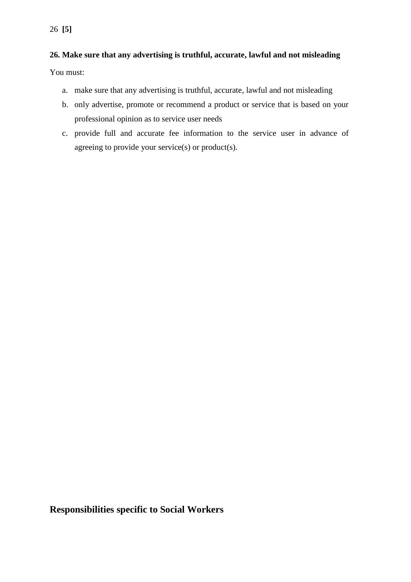## **26. Make sure that any advertising is truthful, accurate, lawful and not misleading**

You must:

- a. make sure that any advertising is truthful, accurate, lawful and not misleading
- b. only advertise, promote or recommend a product or service that is based on your professional opinion as to service user needs
- c. provide full and accurate fee information to the service user in advance of agreeing to provide your service(s) or product(s).

**Responsibilities specific to Social Workers**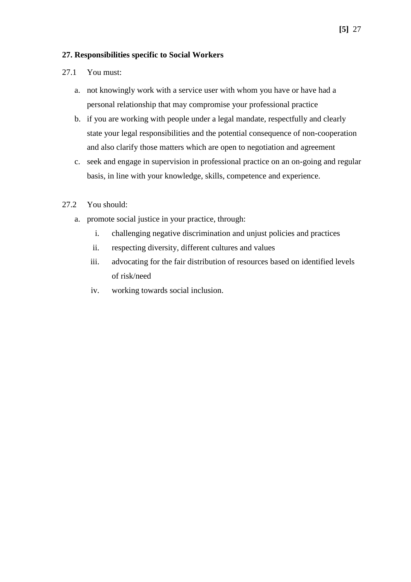#### **27. Responsibilities specific to Social Workers**

### 27.1 You must:

- a. not knowingly work with a service user with whom you have or have had a personal relationship that may compromise your professional practice
- b. if you are working with people under a legal mandate, respectfully and clearly state your legal responsibilities and the potential consequence of non-cooperation and also clarify those matters which are open to negotiation and agreement
- c. seek and engage in supervision in professional practice on an on-going and regular basis, in line with your knowledge, skills, competence and experience.

### 27.2 You should:

- a. promote social justice in your practice, through:
	- i. challenging negative discrimination and unjust policies and practices
	- ii. respecting diversity, different cultures and values
	- iii. advocating for the fair distribution of resources based on identified levels of risk/need
	- iv. working towards social inclusion.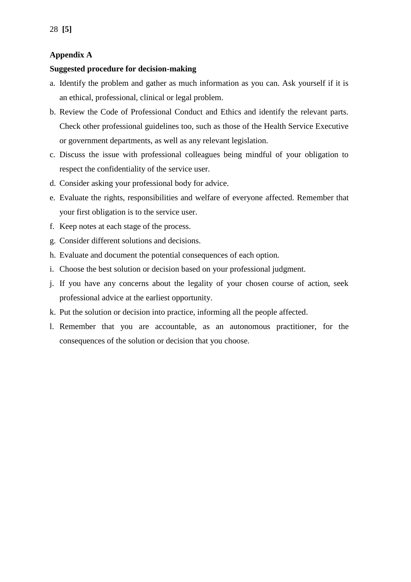## **Appendix A**

### **Suggested procedure for decision-making**

- a. Identify the problem and gather as much information as you can. Ask yourself if it is an ethical, professional, clinical or legal problem.
- b. Review the Code of Professional Conduct and Ethics and identify the relevant parts. Check other professional guidelines too, such as those of the Health Service Executive or government departments, as well as any relevant legislation.
- c. Discuss the issue with professional colleagues being mindful of your obligation to respect the confidentiality of the service user.
- d. Consider asking your professional body for advice.
- e. Evaluate the rights, responsibilities and welfare of everyone affected. Remember that your first obligation is to the service user.
- f. Keep notes at each stage of the process.
- g. Consider different solutions and decisions.
- h. Evaluate and document the potential consequences of each option.
- i. Choose the best solution or decision based on your professional judgment.
- j. If you have any concerns about the legality of your chosen course of action, seek professional advice at the earliest opportunity.
- k. Put the solution or decision into practice, informing all the people affected.
- l. Remember that you are accountable, as an autonomous practitioner, for the consequences of the solution or decision that you choose.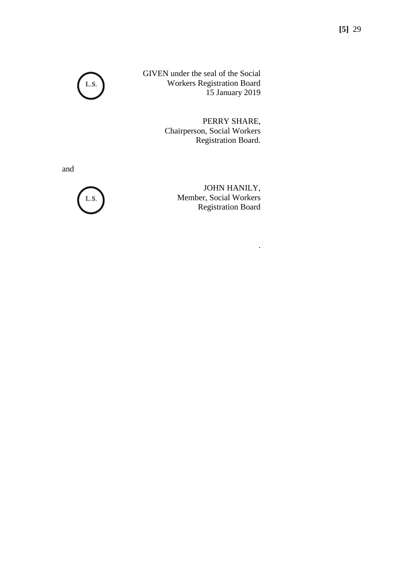GIVEN under the seal of the Social Workers Registration Board 15 January 2019

> PERRY SHARE, Chairperson, Social Workers Registration Board.

and



JOHN HANILY, Member, Social Workers Registration Board

.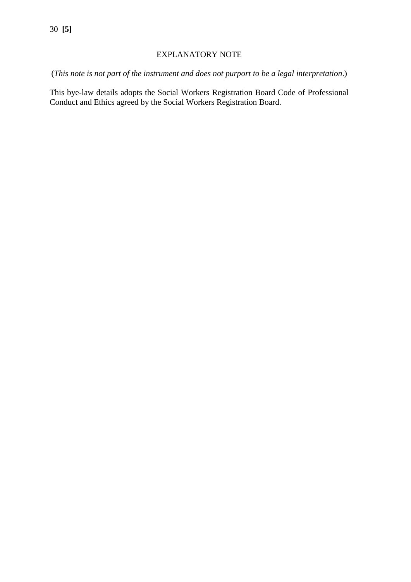## EXPLANATORY NOTE

(*This note is not part of the instrument and does not purport to be a legal interpretation*.)

This bye-law details adopts the Social Workers Registration Board Code of Professional Conduct and Ethics agreed by the Social Workers Registration Board.